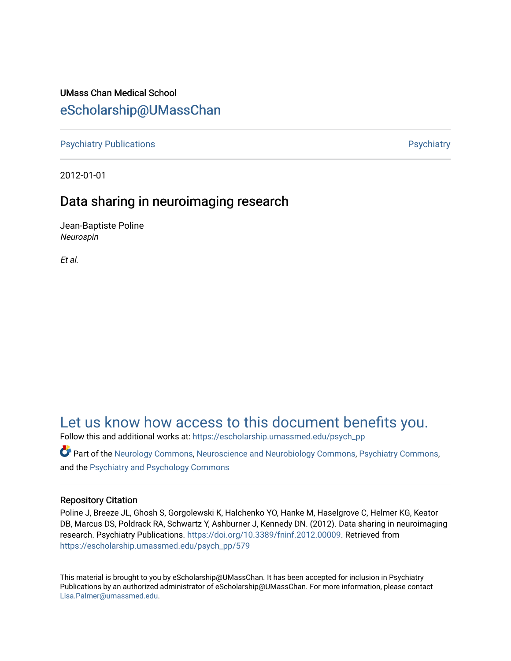UMass Chan Medical School [eScholarship@UMassChan](https://escholarship.umassmed.edu/) 

[Psychiatry Publications](https://escholarship.umassmed.edu/psych_pp) **Properties** [Psychiatry](https://escholarship.umassmed.edu/psychiatry) Publications **Psychiatry** 

2012-01-01

## Data sharing in neuroimaging research

Jean-Baptiste Poline Neurospin

Et al.

# [Let us know how access to this document benefits you.](https://arcsapps.umassmed.edu/redcap/surveys/?s=XWRHNF9EJE)

Follow this and additional works at: [https://escholarship.umassmed.edu/psych\\_pp](https://escholarship.umassmed.edu/psych_pp?utm_source=escholarship.umassmed.edu%2Fpsych_pp%2F579&utm_medium=PDF&utm_campaign=PDFCoverPages) 

Part of the [Neurology Commons](http://network.bepress.com/hgg/discipline/692?utm_source=escholarship.umassmed.edu%2Fpsych_pp%2F579&utm_medium=PDF&utm_campaign=PDFCoverPages), [Neuroscience and Neurobiology Commons](http://network.bepress.com/hgg/discipline/55?utm_source=escholarship.umassmed.edu%2Fpsych_pp%2F579&utm_medium=PDF&utm_campaign=PDFCoverPages), [Psychiatry Commons](http://network.bepress.com/hgg/discipline/704?utm_source=escholarship.umassmed.edu%2Fpsych_pp%2F579&utm_medium=PDF&utm_campaign=PDFCoverPages), and the [Psychiatry and Psychology Commons](http://network.bepress.com/hgg/discipline/908?utm_source=escholarship.umassmed.edu%2Fpsych_pp%2F579&utm_medium=PDF&utm_campaign=PDFCoverPages) 

## Repository Citation

Poline J, Breeze JL, Ghosh S, Gorgolewski K, Halchenko YO, Hanke M, Haselgrove C, Helmer KG, Keator DB, Marcus DS, Poldrack RA, Schwartz Y, Ashburner J, Kennedy DN. (2012). Data sharing in neuroimaging research. Psychiatry Publications. [https://doi.org/10.3389/fninf.2012.00009.](https://doi.org/10.3389/fninf.2012.00009) Retrieved from [https://escholarship.umassmed.edu/psych\\_pp/579](https://escholarship.umassmed.edu/psych_pp/579?utm_source=escholarship.umassmed.edu%2Fpsych_pp%2F579&utm_medium=PDF&utm_campaign=PDFCoverPages) 

This material is brought to you by eScholarship@UMassChan. It has been accepted for inclusion in Psychiatry Publications by an authorized administrator of eScholarship@UMassChan. For more information, please contact [Lisa.Palmer@umassmed.edu](mailto:Lisa.Palmer@umassmed.edu).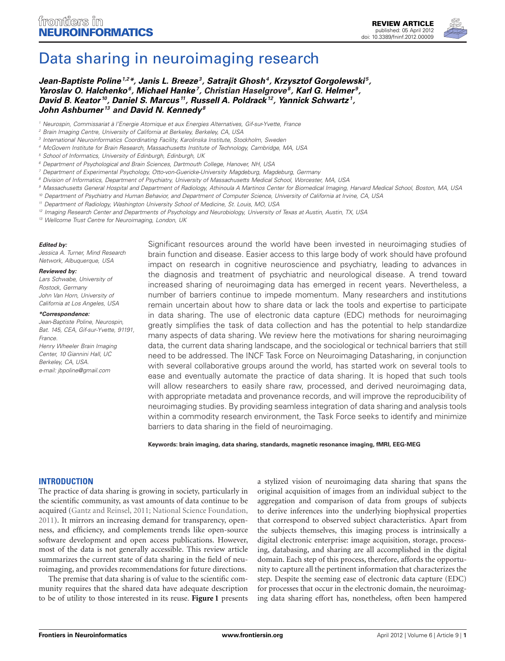

## [Data sharing in neuroimaging research](http://www.frontiersin.org/Neuroinformatics/10.3389/fninf.2012.00009/abstract)

*[Jean-Baptiste Poline1](http://www.frontiersin.org/Community/WhosWhoActivity.aspx?sname=Jean-BaptistePoline&UID=35171),2\*, [Janis L. Breeze](http://www.frontiersin.org/Community/WhosWhoActivity.aspx?sname=JanisBreeze&UID=41458)3, [Satrajit Ghosh4](http://www.frontiersin.org/Community/WhosWhoActivity.aspx?sname=SatrajitGhosh&UID=17765), [Krzysztof Gorgolewski](http://www.frontiersin.org/Community/WhosWhoActivity.aspx?sname=KrzysztofGorgolewski&UID=34684) 5, [Yaroslav O. Halchenko](http://community.frontiersin.org/people/YaroslavHalchenko/2437)6, [Michael Hanke](http://www.frontiersin.org/Community/WhosWhoActivity.aspx?sname=MichaelHanke&UID=874)7, Christian Haselgrove8 , [Karl G. Helmer](http://community.frontiersin.org/people/KarlHelmer/15299) 9, [David B. Keator](http://community.frontiersin.org/people/DavidKeator/4473) 10, [Daniel S. Marcus](http://www.frontiersin.org/Community/WhosWhoActivity.aspx?sname=DanielMarcus_1&UID=29867) 11, [Russell A. Poldrack](http://community.frontiersin.org/people/RussellPoldrack/274)12, [Yannick Schwartz](http://community.frontiersin.org/people/YannickSchwartz/42216) 1, [John Ashburner](http://community.frontiersin.org/people/JohnAshburner/4956) <sup>13</sup> and [David N. Kennedy8](http://www.frontiersin.org/Community/WhosWhoActivity.aspx?sname=DavidKennedy&UID=6349)*

*<sup>1</sup> Neurospin, Commissariat à l'Energie Atomique et aux Energies Alternatives, Gif-sur-Yvette, France*

- *<sup>5</sup> School of Informatics, University of Edinburgh, Edinburgh, UK*
- *<sup>6</sup> Department of Psychological and Brain Sciences, Dartmouth College, Hanover, NH, USA*
- *<sup>7</sup> Department of Experimental Psychology, Otto-von-Guericke-University Magdeburg, Magdeburg, Germany*
- *<sup>8</sup> Division of Informatics, Department of Psychiatry, University of Massachusetts Medical School, Worcester, MA, USA*
- *<sup>9</sup> Massachusetts General Hospital and Department of Radiology, Athinoula A Martinos Center for Biomedical Imaging, Harvard Medical School, Boston, MA, USA*

*<sup>10</sup> Department of Psychiatry and Human Behavior, and Department of Computer Science, University of California at Irvine, CA, USA*

*<sup>11</sup> Department of Radiology, Washington University School of Medicine, St. Louis, MO, USA*

*<sup>12</sup> Imaging Research Center and Departments of Psychology and Neurobiology, University of Texas at Austin, Austin, TX, USA*

*<sup>13</sup> Wellcome Trust Centre for Neuroimaging, London, UK*

#### *Edited by:*

*Jessica A. Turner, Mind Research Network, Albuquerque, USA*

#### *Reviewed by:*

*Lars Schwabe, University of Rostock, Germany John Van Horn, University of California at Los Angeles, USA*

#### *\*Correspondence:*

*Jean-Baptiste Poline, Neurospin, Bat. 145, CEA, Gif-sur-Yvette, 91191, France. Henry Wheeler Brain Imaging Center, 10 Giannini Hall, UC Berkeley, CA, USA. e-mail: jbpoline@gmail.com*

Significant resources around the world have been invested in neuroimaging studies of brain function and disease. Easier access to this large body of work should have profound impact on research in cognitive neuroscience and psychiatry, leading to advances in the diagnosis and treatment of psychiatric and neurological disease. A trend toward increased sharing of neuroimaging data has emerged in recent years. Nevertheless, a number of barriers continue to impede momentum. Many researchers and institutions remain uncertain about how to share data or lack the tools and expertise to participate in data sharing. The use of electronic data capture (EDC) methods for neuroimaging greatly simplifies the task of data collection and has the potential to help standardize many aspects of data sharing. We review here the motivations for sharing neuroimaging data, the current data sharing landscape, and the sociological or technical barriers that still need to be addressed. The INCF Task Force on Neuroimaging Datasharing, in conjunction with several collaborative groups around the world, has started work on several tools to ease and eventually automate the practice of data sharing. It is hoped that such tools will allow researchers to easily share raw, processed, and derived neuroimaging data, with appropriate metadata and provenance records, and will improve the reproducibility of neuroimaging studies. By providing seamless integration of data sharing and analysis tools within a commodity research environment, the Task Force seeks to identify and minimize barriers to data sharing in the field of neuroimaging.

**Keywords: brain imaging, data sharing, standards, magnetic resonance imaging, fMRI, EEG-MEG**

#### **INTRODUCTION**

The practice of data sharing is growing in society, particularly in the scientific community, as vast amounts of data continue to be acquired [\(Gantz and Reinsel, 2011;](#page-12-0) [National Science Foundation](#page-12-1), [2011\)](#page-12-1). It mirrors an increasing demand for transparency, openness, and efficiency, and complements trends like open-source software development and open access publications. However, most of the data is not generally accessible. This review article summarizes the current state of data sharing in the field of neuroimaging, and provides recommendations for future directions.

The premise that data sharing is of value to the scientific community requires that the shared data have adequate description to be of utility to those interested in its reuse. **[Figure 1](#page-2-0)** presents a stylized vision of neuroimaging data sharing that spans the original acquisition of images from an individual subject to the aggregation and comparison of data from groups of subjects to derive inferences into the underlying biophysical properties that correspond to observed subject characteristics. Apart from the subjects themselves, this imaging process is intrinsically a digital electronic enterprise: image acquisition, storage, processing, databasing, and sharing are all accomplished in the digital domain. Each step of this process, therefore, affords the opportunity to capture all the pertinent information that characterizes the step. Despite the seeming ease of electronic data capture (EDC) for processes that occur in the electronic domain, the neuroimaging data sharing effort has, nonetheless, often been hampered

*<sup>2</sup> Brain Imaging Centre, University of California at Berkeley, Berkeley, CA, USA*

*<sup>3</sup> International Neuroinformatics Coordinating Facility, Karolinska Institute, Stockholm, Sweden*

*<sup>4</sup> McGovern Institute for Brain Research, Massachusetts Institute of Technology, Cambridge, MA, USA*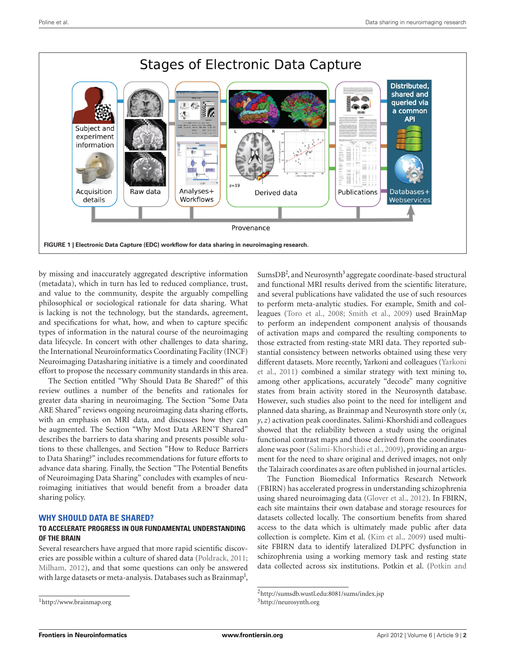

<span id="page-2-0"></span>by missing and inaccurately aggregated descriptive information (metadata), which in turn has led to reduced compliance, trust, and value to the community, despite the arguably compelling philosophical or sociological rationale for data sharing. What is lacking is not the technology, but the standards, agreement, and specifications for what, how, and when to capture specific types of information in the natural course of the neuroimaging data lifecycle. In concert with other challenges to data sharing, the International Neuroinformatics Coordinating Facility (INCF) Neuroimaging Datasharing initiative is a timely and coordinated effort to propose the necessary community standards in this area.

The Section entitled "Why Should Data Be Shared?" of this review outlines a number of the benefits and rationales for greater data sharing in neuroimaging. The Section "Some Data ARE Shared" reviews ongoing neuroimaging data sharing efforts, with an emphasis on MRI data, and discusses how they can be augmented. The Section "Why Most Data AREN'T Shared" describes the barriers to data sharing and presents possible solutions to these challenges, and Section "How to Reduce Barriers to Data Sharing?" includes recommendations for future efforts to advance data sharing. Finally, the Section "The Potential Benefits of Neuroimaging Data Sharing" concludes with examples of neuroimaging initiatives that would benefit from a broader data sharing policy.

#### **WHY SHOULD DATA BE SHARED?**

#### **TO ACCELERATE PROGRESS IN OUR FUNDAMENTAL UNDERSTANDING OF THE BRAIN**

Several researchers have argued that more rapid scientific discoveries are possible within a culture of shared data [\(Poldrack](#page-12-2), [2011;](#page-12-2) [Milham, 2012\)](#page-12-3), and that some questions can only be answered with large datasets or meta-analysis. Databases such as Brainmap<sup>1</sup>,

<span id="page-2-1"></span>SumsDB<sup>2</sup>, and Neurosynth<sup>3</sup> aggregate coordinate-based structural and functional MRI results derived from the scientific literature, and several publications have validated the use of such resources to perform meta-analytic studies. For example, Smith and colleagues [\(Toro et al.](#page-13-0), [2008;](#page-13-0) [Smith et al.](#page-13-1), [2009\)](#page-13-1) used BrainMap to perform an independent component analysis of thousands of activation maps and compared the resulting components to those extracted from resting-state MRI data. They reported substantial consistency between networks obtained using these very diffe[rent](#page-13-2) [datasets.](#page-13-2) [More](#page-13-2) [recently,](#page-13-2) [Yarkoni](#page-13-2) [and](#page-13-2) [colleagues](#page-13-2) [\(](#page-13-2)Yarkoni et al., [2011\)](#page-13-2) combined a similar strategy with text mining to, among other applications, accurately "decode" many cognitive states from brain activity stored in the Neurosynth database. However, such studies also point to the need for intelligent and planned data sharing, as Brainmap and Neurosynth store only (*x*, *y*,*z*) activation peak coordinates. Salimi-Khorshidi and colleagues showed that the reliability between a study using the original functional contrast maps and those derived from the coordinates alone was poor [\(Salimi-Khorshidi et al.](#page-13-3), [2009](#page-13-3)), providing an argument for the need to share original and derived images, not only the Talairach coordinates as are often published in journal articles.

The Function Biomedical Informatics Research Network (FBIRN) has accelerated progress in understanding schizophrenia using shared neuroimaging data [\(Glover et al.](#page-12-4), [2012](#page-12-4)). In FBIRN, each site maintains their own database and storage resources for datasets collected locally. The consortium benefits from shared access to the data which is ultimately made public after data collection is complete. Kim et al. [\(Kim et al.](#page-12-5), [2009\)](#page-12-5) used multisite FBIRN data to identify lateralized DLPFC dysfunction in schizophrenia using a working memory task and resting state data collected across six institutions. Potkin et al. (Potkin and

<sup>1</sup>http://www.brainmap.org

<sup>2</sup>http://sumsdb.wustl.edu:8081/sums/index.jsp

<sup>3</sup>http://neurosynth.org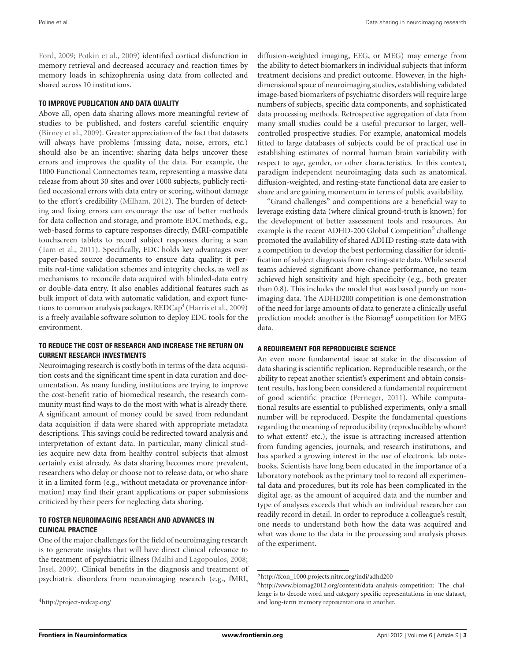Ford, [2009;](#page-13-4) [Potkin et al.](#page-12-6), [2009\)](#page-12-6) identified cortical disfunction in memory retrieval and decreased accuracy and reaction times by memory loads in schizophrenia using data from collected and shared across 10 institutions.

#### **TO IMPROVE PUBLICATION AND DATA QUALITY**

Above all, open data sharing allows more meaningful review of studies to be published, and fosters careful scientific enquiry [\(Birney et al.](#page-11-0), [2009\)](#page-11-0). Greater appreciation of the fact that datasets will always have problems (missing data, noise, errors, etc.) should also be an incentive: sharing data helps uncover these errors and improves the quality of the data. For example, the 1000 Functional Connectomes team, representing a massive data release from about 30 sites and over 1000 subjects, publicly rectified occasional errors with data entry or scoring, without damage to the effort's credibility [\(Milham](#page-12-3), [2012\)](#page-12-3). The burden of detecting and fixing errors can encourage the use of better methods for data collection and storage, and promote EDC methods, e.g., web-based forms to capture responses directly, fMRI-compatible touchscreen tablets to record subject responses during a scan [\(Tam et al.](#page-13-5), [2011](#page-13-5)). Specifically, EDC holds key advantages over paper-based source documents to ensure data quality: it permits real-time validation schemes and integrity checks, as well as mechanisms to reconcile data acquired with blinded-data entry or double-data entry. It also enables additional features such as bulk import of data with automatic validation, and export functions to common analysis packages.  $REDCap<sup>4</sup>$  [\(Harris et al.](#page-12-7), [2009\)](#page-12-7) is a freely available software solution to deploy EDC tools for the environment.

#### **TO REDUCE THE COST OF RESEARCH AND INCREASE THE RETURN ON CURRENT RESEARCH INVESTMENTS**

Neuroimaging research is costly both in terms of the data acquisition costs and the significant time spent in data curation and documentation. As many funding institutions are trying to improve the cost-benefit ratio of biomedical research, the research community must find ways to do the most with what is already there. A significant amount of money could be saved from redundant data acquisition if data were shared with appropriate metadata descriptions. This savings could be redirected toward analysis and interpretation of extant data. In particular, many clinical studies acquire new data from healthy control subjects that almost certainly exist already. As data sharing becomes more prevalent, researchers who delay or choose not to release data, or who share it in a limited form (e.g., without metadata or provenance information) may find their grant applications or paper submissions criticized by their peers for neglecting data sharing.

#### **TO FOSTER NEUROIMAGING RESEARCH AND ADVANCES IN CLINICAL PRACTICE**

One of the major challenges for the field of neuroimaging research is to generate insights that will have direct clinical relevance to the treatment of psychiatric illness [\(Malhi and Lagopoulos](#page-12-8), [2008;](#page-12-8) [Insel, 2009](#page-12-9)). Clinical benefits in the diagnosis and treatment of psychiatric disorders from neuroimaging research (e.g., fMRI,

diffusion-weighted imaging, EEG, or MEG) may emerge from the ability to detect biomarkers in individual subjects that inform treatment decisions and predict outcome. However, in the highdimensional space of neuroimaging studies, establishing validated image-based biomarkers of psychiatric disorders will require large numbers of subjects, specific data components, and sophisticated data processing methods. Retrospective aggregation of data from many small studies could be a useful precursor to larger, wellcontrolled prospective studies. For example, anatomical models fitted to large databases of subjects could be of practical use in establishing estimates of normal human brain variability with respect to age, gender, or other characteristics. In this context, paradigm independent neuroimaging data such as anatomical, diffusion-weighted, and resting-state functional data are easier to share and are gaining momentum in terms of public availability.

"Grand challenges" and competitions are a beneficial way to leverage existing data (where clinical ground-truth is known) for the development of better assessment tools and resources. An example is the recent ADHD-200 Global Competition<sup>[5](#page-3-0)</sup> challenge promoted the availability of shared ADHD resting-state data with a competition to develop the best performing classifier for identification of subject diagnosis from resting-state data. While several teams achieved significant above-chance performance, no team achieved high sensitivity and high specificity (e.g., both greater than 0.8). This includes the model that was based purely on nonimaging data. The ADHD200 competition is one demonstration of the need for large amounts of data to generate a clinically useful prediction model; another is the Biomag<sup>[6](#page-3-0)</sup> competition for MEG data.

### <span id="page-3-0"></span>**A REQUIREMENT FOR REPRODUCIBLE SCIENCE**

An even more fundamental issue at stake in the discussion of data sharing is scientific replication. Reproducible research, or the ability to repeat another scientist's experiment and obtain consistent results, has long been considered a fundamental requirement of good scientific practice [\(Perneger, 2011](#page-12-10)). While computational results are essential to published experiments, only a small number will be reproduced. Despite the fundamental questions regarding the meaning of reproducibility (reproducible by whom? to what extent? etc.), the issue is attracting increased attention from funding agencies, journals, and research institutions, and has sparked a growing interest in the use of electronic lab notebooks. Scientists have long been educated in the importance of a laboratory notebook as the primary tool to record all experimental data and procedures, but its role has been complicated in the digital age, as the amount of acquired data and the number and type of analyses exceeds that which an individual researcher can readily record in detail. In order to reproduce a colleague's result, one needs to understand both how the data was acquired and what was done to the data in the processing and analysis phases of the experiment.

<sup>5</sup>http://fcon\_1000.projects.nitrc.org/indi/adhd200

<sup>6</sup>http://www.biomag2012.org/content/data-analysis-competition: The challenge is to decode word and category specific representations in one dataset, and long-term memory representations in another.

<sup>4</sup>http://project-redcap.org/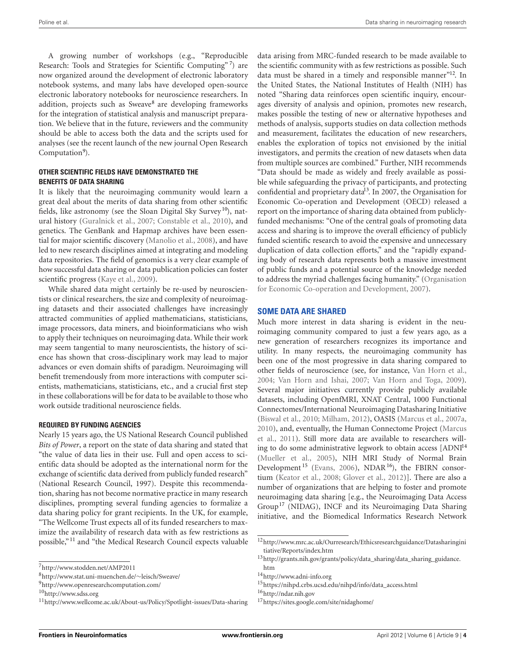A growing number of workshops (e.g., "Reproducible Research: Tools and Strategies for Scientific Computing" [7](#page-3-0)) are now organized around the development of electronic laboratory notebook systems, and many labs have developed open-source electronic laboratory notebooks for neuroscience researchers. In addition, proj[e](#page-3-0)cts such as Sweave<sup>8</sup> are developing frameworks for the integration of statistical analysis and manuscript preparation. We believe that in the future, reviewers and the community should be able to access both the data and the scripts used for analyses (see the recent launch of the new journal Open Research Computation<sup>[9](#page-3-0)</sup>).

#### **OTHER SCIENTIFIC FIELDS HAVE DEMONSTRATED THE BENEFITS OF DATA SHARING**

It is likely that the neuroimaging community would learn a great deal about the merits of data sharing from other scientific fields, like astronomy (see the Sloan Digital Sky Survey<sup>10</sup>), natural history [\(Guralnick et al., 2007](#page-12-11); [Constable et al., 2010](#page-12-12)), and genetics. The GenBank and Hapmap archives have been essential for major scientific discovery [\(Manolio et al., 2008](#page-12-13)), and have led to new research disciplines aimed at integrating and modeling data repositories. The field of genomics is a very clear example of how successful data sharing or data publication policies can foster scientific progress [\(Kaye et al.](#page-12-14), [2009\)](#page-12-14).

While shared data might certainly be re-used by neuroscientists or clinical researchers, the size and complexity of neuroimaging datasets and their associated challenges have increasingly attracted communities of applied mathematicians, statisticians, image processors, data miners, and bioinformaticians who wish to apply their techniques on neuroimaging data. While their work may seem tangential to many neuroscientists, the history of science has shown that cross-disciplinary work may lead to major advances or even domain shifts of paradigm. Neuroimaging will benefit tremendously from more interactions with computer scientists, mathematicians, statisticians, etc., and a crucial first step in these collaborations will be for data to be available to those who work outside traditional neuroscience fields.

#### **REQUIRED BY FUNDING AGENCIES**

Nearly 15 years ago, the US National Research Council published *Bits of Power*, a report on the state of data sharing and stated that "the value of data lies in their use. Full and open access to scientific data should be adopted as the international norm for the exchange of scientific data derived from publicly funded research" (National Research Council, 1997). Despite this recommendation, sharing has not become normative practice in many research disciplines, prompting several funding agencies to formalize a data sharing policy for grant recipients. In the UK, for example, "The Wellcome Trust expects all of its funded researchers to maximize the availability of research data with as few restrictions as possible," [11](#page-4-0) and "the Medical Research Council expects valuable data arising from MRC-funded research to be made available to the scientific community with as few restrictions as possible. Such data must be shared in a timely and responsible manner"<sup>12</sup>. In the United States, the National Institutes of Health (NIH) has noted "Sharing data reinforces open scientific inquiry, encourages diversity of analysis and opinion, promotes new research, makes possible the testing of new or alternative hypotheses and methods of analysis, supports studies on data collection methods and measurement, facilitates the education of new researchers, enables the exploration of topics not envisioned by the initial investigators, and permits the creation of new datasets when data from multiple sources are combined." Further, NIH recommends "Data should be made as widely and freely available as possible while safeguarding the privacy of participants, and protecting confidential and proprietary data $13$ . In 2007, the Organisation for Economic Co-operation and Development (OECD) released a report on the importance of sharing data obtained from publiclyfunded mechanisms: "One of the central goals of promoting data access and sharing is to improve the overall efficiency of publicly funded scientific research to avoid the expensive and unnecessary duplication of data collection efforts," and the "rapidly expanding body of research data represents both a massive investment of public funds and a potential source of the knowledge needed to address the myriad challenges facing huma[nity." \(](#page-12-15)Organisation for Economic Co-operation and Development, [2007\)](#page-12-15).

#### **SOME DATA ARE SHARED**

Much more interest in data sharing is evident in the neuroimaging community compared to just a few years ago, as a new generation of researchers recognizes its importance and utility. In many respects, the neuroimaging community has been one of the most progressive in data sharing compared to other fields of neuroscience (see, for instance, [Van Horn et al.,](#page-13-6) [2004;](#page-13-6) [Van Horn and Ishai, 2007](#page-13-7); [Van Horn and Toga, 2009](#page-13-8)). Several major initiatives currently provide publicly available datasets, including OpenfMRI, XNAT Central, 1000 Functional Connectomes/International Neuroimaging Datasharing Initiative [\(Biswal et al.](#page-11-1), [2010;](#page-11-1) [Milham, 2012\)](#page-12-3), OASIS [\(Marcus et al., 2007a,](#page-12-16) [2010\)](#page-12-17)[, and, eventually, the Human Connectome Project \(](#page-12-18)Marcus et al., [2011](#page-12-18)). Still more data are available to researchers willing to do some administrative legwork to obtain access [ADN[I14](#page-4-0) [\(Mueller et al., 2005\)](#page-12-19), NIH MRI Study of Normal Brain Development<sup>[15](#page-4-0)</sup> [\(Evans, 2006](#page-12-20)), NDAR<sup>16</sup>), the FBIRN consortium [\(Keator et al., 2008](#page-12-21); [Glover et al.](#page-12-4), [2012\)](#page-12-4)]. There are also a number of organizations that are helping to foster and promote neuroimaging data sharing [e.g., the Neuroimaging Data Access Group<sup>[17](#page-4-0)</sup> (NIDAG), INCF and its Neuroimaging Data Sharing initiative, and the Biomedical Informatics Research Network

<sup>7</sup>http://www.stodden.net/AMP2011

<sup>8</sup>http://www.stat.uni-muenchen.de/∼leisch/Sweave/ 9http://www.openresearchcomputation.com/

<sup>10</sup>http://www.sdss.org

<sup>11</sup>http://www.wellcome.ac.uk/About-us/Policy/Spotlight-issues/Data-sharing

<span id="page-4-0"></span><sup>12</sup>http://www.mrc.ac.uk/Ourresearch/Ethicsresearchguidance/Datasharingini tiative/Reports/index.htm

<sup>13</sup>http://grants.nih.gov/grants/policy/data\_sharing/data\_sharing\_guidance. htm

<sup>14</sup>http://www.adni-info.org

<sup>15</sup>https://nihpd.crbs.ucsd.edu/nihpd/info/data\_access.html

<sup>16</sup>http://ndar.nih.gov

<sup>17</sup>https://sites.google.com/site/nidaghome/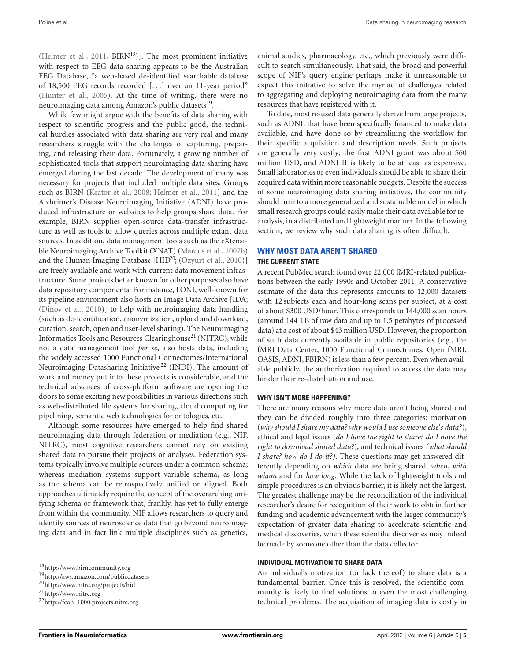[\(Helmer et al.](#page-12-22), [2011,](#page-12-22) BIRN<sup>18</sup>)]. The most prominent initiative with respect to EEG data sharing appears to be the Australian EEG Database, "a web-based de-identified searchable database of 18,500 EEG records recorded [*...*] over an 11-year period" [\(Hunter et al., 2005\)](#page-12-23). At the time of writing, there were no neuroimaging data among Amazon's public datasets<sup>19</sup>.

While few might argue with the benefits of data sharing with respect to scientific progress and the public good, the technical hurdles associated with data sharing are very real and many researchers struggle with the challenges of capturing, preparing, and releasing their data. Fortunately, a growing number of sophisticated tools that support neuroimaging data sharing have emerged during the last decade. The development of many was necessary for projects that included multiple data sites. Groups such as BIRN [\(Keator et al., 2008](#page-12-21); [Helmer et al., 2011](#page-12-22)) and the Alzheimer's Disease Neuroimaging Initiative (ADNI) have produced infrastructure or websites to help groups share data. For example, BIRN supplies open-source data-transfer infrastructure as well as tools to allow queries across multiple extant data sources. In addition, data management tools such as the eXtensible Neuroimaging Archive Toolkit (XNAT) [\(Marcus et al.](#page-12-24), [2007b\)](#page-12-24) and the Human Imaging Database [HID<sup>20</sup>; [\(Ozyurt et al.](#page-12-25), [2010](#page-12-25))] are freely available and work with current data movement infrastructure. Some projects better known for other purposes also have data repository components. For instance, LONI, well-known for its pipeline environment also hosts an Image Data Archive [IDA; [\(Dinov et al., 2010\)](#page-12-26)] to help with neuroimaging data handling (such as de-identification, anonymization, upload and download, curation, search, open and user-level sharing). The Neuroimaging Informatics Tools and Resources Clearinghouse<sup>21</sup> (NITRC), while not a data management tool *per se*, also hosts data, including the widely accessed 1000 Functional Connectomes/International Neuroimaging Datasharing Initiative<sup>[22](#page-5-0)</sup> (INDI). The amount of work and money put into these projects is considerable, and the technical advances of cross-platform software are opening the doors to some exciting new possibilities in various directions such as web-distributed file systems for sharing, cloud computing for pipelining, semantic web technologies for ontologies, etc.

Although some resources have emerged to help find shared neuroimaging data through federation or mediation (e.g., NIF, NITRC), most cognitive researchers cannot rely on existing shared data to pursue their projects or analyses. Federation systems typically involve multiple sources under a common schema; whereas mediation systems support variable schema, as long as the schema can be retrospectively unified or aligned. Both approaches ultimately require the concept of the overarching unifying schema or framework that, frankly, has yet to fully emerge from within the community. NIF allows researchers to query and identify sources of neuroscience data that go beyond neuroimaging data and in fact link multiple disciplines such as genetics,

animal studies, pharmacology, etc., which previously were difficult to search simultaneously. That said, the broad and powerful scope of NIF's query engine perhaps make it unreasonable to expect this initiative to solve the myriad of challenges related to aggregating and deploying neuroimaging data from the many resources that have registered with it.

To date, most re-used data generally derive from large projects, such as ADNI, that have been specifically financed to make data available, and have done so by streamlining the workflow for their specific acquisition and description needs. Such projects are generally very costly; the first ADNI grant was about \$60 million USD, and ADNI II is likely to be at least as expensive. Small laboratories or even individuals should be able to share their acquired data within more reasonable budgets. Despite the success of some neuroimaging data sharing initiatives, the community should turn to a more generalized and sustainable model in which small research groups could easily make their data available for reanalysis, in a distributed and lightweight manner. In the following section, we review why such data sharing is often difficult.

#### **WHY MOST DATA AREN'T SHARED THE CURRENT STATE**

A recent PubMed search found over 22,000 fMRI-related publications between the early 1990s and October 2011. A conservative estimate of the data this represents amounts to 12,000 datasets with 12 subjects each and hour-long scans per subject, at a cost of about \$300 USD/hour. This corresponds to 144,000 scan hours (around 144 TB of raw data and up to 1.5 petabytes of processed data) at a cost of about \$43 million USD. However, the proportion of such data currently available in public repositories (e.g., the fMRI Data Center, 1000 Functional Connectomes, Open fMRI, OASIS, ADNI, FBIRN) is less than a few percent. Even when available publicly, the authorization required to access the data may hinder their re-distribution and use.

#### <span id="page-5-0"></span>**WHY ISN'T MORE HAPPENING?**

There are many reasons why more data aren't being shared and they can be divided roughly into three categories: motivation (*why should I share my data? why would I use someone else*'*s data?*), ethical and legal issues (*do I have the right to share? do I have the right to download shared data?*), and technical issues *(what should I share? how do I do it?)*. These questions may get answered differently depending on *which* data are being shared, *when*, *with whom* and for *how long*. While the lack of lightweight tools and simple procedures is an obvious barrier, it is likely not the largest. The greatest challenge may be the reconciliation of the individual researcher's desire for recognition of their work to obtain further funding and academic advancement with the larger community's expectation of greater data sharing to accelerate scientific and medical discoveries, when these scientific discoveries may indeed be made by someone other than the data collector.

#### **INDIVIDUAL MOTIVATION TO SHARE DATA**

An individual's motivation (or lack thereof) to share data is a fundamental barrier. Once this is resolved, the scientific community is likely to find solutions to even the most challenging technical problems. The acquisition of imaging data is costly in

<sup>18</sup>http://www.birncommunity.org

<sup>19</sup>http://aws.amazon.com/publicdatasets

<sup>20</sup>http://www.nitrc.org/projects/hid

<sup>21</sup>http://www.nitrc.org

<sup>22</sup>http://fcon\_1000.projects.nitrc.org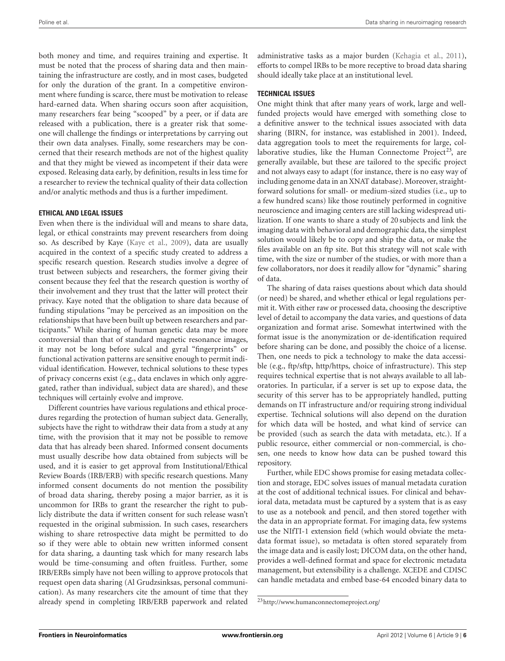both money and time, and requires training and expertise. It must be noted that the process of sharing data and then maintaining the infrastructure are costly, and in most cases, budgeted for only the duration of the grant. In a competitive environment where funding is scarce, there must be motivation to release hard-earned data. When sharing occurs soon after acquisition, many researchers fear being "scooped" by a peer, or if data are released with a publication, there is a greater risk that someone will challenge the findings or interpretations by carrying out their own data analyses. Finally, some researchers may be concerned that their research methods are not of the highest quality and that they might be viewed as incompetent if their data were exposed. Releasing data early, by definition, results in less time for a researcher to review the technical quality of their data collection and/or analytic methods and thus is a further impediment.

#### **ETHICAL AND LEGAL ISSUES**

Even when there is the individual will and means to share data, legal, or ethical constraints may prevent researchers from doing so. As described by Kaye [\(Kaye et al.](#page-12-14), [2009\)](#page-12-14), data are usually acquired in the context of a specific study created to address a specific research question. Research studies involve a degree of trust between subjects and researchers, the former giving their consent because they feel that the research question is worthy of their involvement and they trust that the latter will protect their privacy. Kaye noted that the obligation to share data because of funding stipulations "may be perceived as an imposition on the relationships that have been built up between researchers and participants." While sharing of human genetic data may be more controversial than that of standard magnetic resonance images, it may not be long before sulcal and gyral "fingerprints" or functional activation patterns are sensitive enough to permit individual identification. However, technical solutions to these types of privacy concerns exist (e.g., data enclaves in which only aggregated, rather than individual, subject data are shared), and these techniques will certainly evolve and improve.

Different countries have various regulations and ethical procedures regarding the protection of human subject data. Generally, subjects have the right to withdraw their data from a study at any time, with the provision that it may not be possible to remove data that has already been shared. Informed consent documents must usually describe how data obtained from subjects will be used, and it is easier to get approval from Institutional/Ethical Review Boards (IRB/ERB) with specific research questions. Many informed consent documents do not mention the possibility of broad data sharing, thereby posing a major barrier, as it is uncommon for IRBs to grant the researcher the right to publicly distribute the data if written consent for such release wasn't requested in the original submission. In such cases, researchers wishing to share retrospective data might be permitted to do so if they were able to obtain new written informed consent for data sharing, a daunting task which for many research labs would be time-consuming and often fruitless. Further, some IRB/ERBs simply have not been willing to approve protocols that request open data sharing (Al Grudzsinksas, personal communication). As many researchers cite the amount of time that they already spend in completing IRB/ERB paperwork and related

administrative tasks as a major burden [\(Kehagia et al.](#page-12-27), [2011](#page-12-27)), efforts to compel IRBs to be more receptive to broad data sharing should ideally take place at an institutional level.

#### **TECHNICAL ISSUES**

<span id="page-6-0"></span>One might think that after many years of work, large and wellfunded projects would have emerged with something close to a definitive answer to the technical issues associated with data sharing (BIRN, for instance, was established in 2001). Indeed, data aggregation tools to meet the requirements for large, collaborative studies, like the Human Connectome Project<sup>23</sup>, are generally available, but these are tailored to the specific project and not always easy to adapt (for instance, there is no easy way of including genome data in an XNAT database). Moreover, straightforward solutions for small- or medium-sized studies (i.e., up to a few hundred scans) like those routinely performed in cognitive neuroscience and imaging centers are still lacking widespread utilization. If one wants to share a study of 20 subjects and link the imaging data with behavioral and demographic data, the simplest solution would likely be to copy and ship the data, or make the files available on an ftp site. But this strategy will not scale with time, with the size or number of the studies, or with more than a few collaborators, nor does it readily allow for "dynamic" sharing of data.

The sharing of data raises questions about which data should (or need) be shared, and whether ethical or legal regulations permit it. With either raw or processed data, choosing the descriptive level of detail to accompany the data varies, and questions of data organization and format arise. Somewhat intertwined with the format issue is the anonymization or de-identification required before sharing can be done, and possibly the choice of a license. Then, one needs to pick a technology to make the data accessible (e.g., ftp/sftp, http/https, choice of infrastructure). This step requires technical expertise that is not always available to all laboratories. In particular, if a server is set up to expose data, the security of this server has to be appropriately handled, putting demands on IT infrastructure and/or requiring strong individual expertise. Technical solutions will also depend on the duration for which data will be hosted, and what kind of service can be provided (such as search the data with metadata, etc.). If a public resource, either commercial or non-commercial, is chosen, one needs to know how data can be pushed toward this repository.

Further, while EDC shows promise for easing metadata collection and storage, EDC solves issues of manual metadata curation at the cost of additional technical issues. For clinical and behavioral data, metadata must be captured by a system that is as easy to use as a notebook and pencil, and then stored together with the data in an appropriate format. For imaging data, few systems use the NIfTI-1 extension field (which would obviate the metadata format issue), so metadata is often stored separately from the image data and is easily lost; DICOM data, on the other hand, provides a well-defined format and space for electronic metadata management, but extensibility is a challenge. XCEDE and CDISC can handle metadata and embed base-64 encoded binary data to

<sup>23</sup>http://www.humanconnectomeproject.org/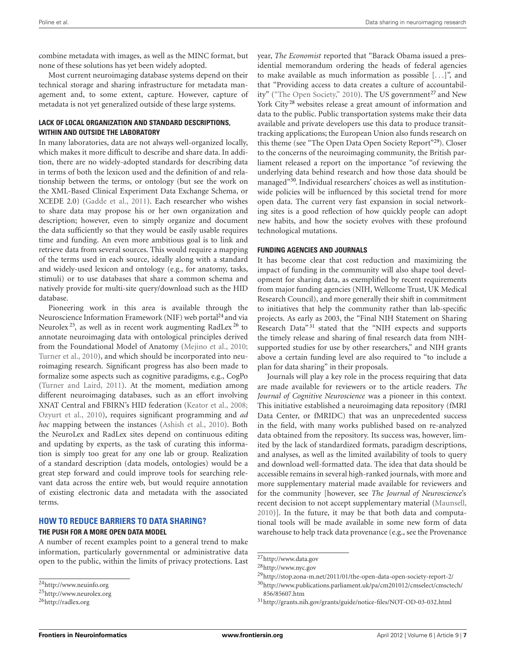combine metadata with images, as well as the MINC format, but none of these solutions has yet been widely adopted.

Most current neuroimaging database systems depend on their technical storage and sharing infrastructure for metadata management and, to some extent, capture. However, capture of metadata is not yet generalized outside of these large systems.

#### **LACK OF LOCAL ORGANIZATION AND STANDARD DESCRIPTIONS, WITHIN AND OUTSIDE THE LABORATORY**

In many laboratories, data are not always well-organized locally, which makes it more difficult to describe and share data. In addition, there are no widely-adopted standards for describing data in terms of both the lexicon used and the definition of and relationship between the terms, or ontology (but see the work on the XML-Based Clinical Experiment Data Exchange Schema, or XCEDE 2.0) [\(Gadde et al.](#page-12-28), [2011](#page-12-28)). Each researcher who wishes to share data may propose his or her own organization and description; however, even to simply organize and document the data sufficiently so that they would be easily usable requires time and funding. An even more ambitious goal is to link and retrieve data from several sources. This would require a mapping of the terms used in each source, ideally along with a standard and widely-used lexicon and ontology (e.g., for anatomy, tasks, stimuli) or to use databases that share a common schema and natively provide for multi-site query/download such as the HID database.

Pioneering work in this area is available through the Neuroscience Information Framework (NIF) web portal<sup>24</sup> and via Neurolex<sup>25</sup>, as well as in recent work augmenting RadLex<sup>[26](#page-7-0)</sup> to annotate neuroimaging data with ontological principles derived from the Foundational Model of Anatomy [\(Mejino et al.](#page-12-29), [2010;](#page-12-29) [Turner et al.](#page-13-9), [2010](#page-13-9)), and which should be incorporated into neuroimaging research. Significant progress has also been made to formalize some aspects such as cognitive paradigms, e.g., CogPo [\(Turner and Laird, 2011](#page-13-10)). At the moment, mediation among different neuroimaging databases, such as an effort involving XNAT Central and FBIRN's HID federation [\(Keator et al., 2008;](#page-12-21) [Ozyurt et al.](#page-12-25), [2010](#page-12-25)), requires significant programming and *ad hoc* mapping between the instances [\(Ashish et al.](#page-11-2), [2010](#page-11-2)). Both the NeuroLex and RadLex sites depend on continuous editing and updating by experts, as the task of curating this information is simply too great for any one lab or group. Realization of a standard description (data models, ontologies) would be a great step forward and could improve tools for searching relevant data across the entire web, but would require annotation of existing electronic data and metadata with the associated terms.

#### **HOW TO REDUCE BARRIERS TO DATA SHARING? THE PUSH FOR A MORE OPEN DATA MODEL**

A number of recent examples point to a general trend to make information, particularly governmental or administrative data open to the public, within the limits of privacy protections. Last year, *The Economist* reported that "Barack Obama issued a presidential memorandum ordering the heads of federal agencies to make available as much information as possible [*...*]", and that "Providing access to data creates a culture of accountabil-ity" [\("The Open Society," 2010\)](#page-13-11). The US government<sup>[27](#page-7-0)</sup> and New York City<sup>[28](#page-7-0)</sup> websites release a great amount of information and data to the public. Public transportation systems make their data available and private developers use this data to produce transittracking applications; the European Union also funds research on this theme (see "The Open Data Open Society Report"<sup>29</sup>). Closer to the concerns of the neuroimaging community, the British parliament released a report on the importance "of reviewing the underlying data behind research and how those data should be managed"[30.](#page-7-0) Individual researchers' choices as well as institutionwide policies will be influenced by this societal trend for more open data. The current very fast expansion in social networking sites is a good reflection of how quickly people can adopt new habits, and how the society evolves with these profound technological mutations.

#### **FUNDING AGENCIES AND JOURNALS**

It has become clear that cost reduction and maximizing the impact of funding in the community will also shape tool development for sharing data, as exemplified by recent requirements from major funding agencies (NIH, Wellcome Trust, UK Medical Research Council), and more generally their shift in commitment to initiatives that help the community rather than lab-specific projects. As early as 2003, the "Final NIH Statement on Sharing Research Data"<sup>[31](#page-7-0)</sup> stated that the "NIH expects and supports the timely release and sharing of final research data from NIHsupported studies for use by other researchers," and NIH grants above a certain funding level are also required to "to include a plan for data sharing" in their proposals.

<span id="page-7-0"></span>Journals will play a key role in the process requiring that data are made available for reviewers or to the article readers. *The Journal of Cognitive Neuroscience* was a pioneer in this context. This initiative established a neuroimaging data repository (fMRI Data Center, or fMRIDC) that was an unprecedented success in the field, with many works published based on re-analyzed data obtained from the repository. Its success was, however, limited by the lack of standardized formats, paradigm descriptions, and analyses, as well as the limited availability of tools to query and download well-formatted data. The idea that data should be accessible remains in several high-ranked journals, with more and more supplementary material made available for reviewers and for the community [however, see *The Journal of Neuroscience*'s recent decision to not accept supplementary material [\(Maunsell,](#page-12-30) [2010\)](#page-12-30)]. In the future, it may be that both data and computational tools will be made available in some new form of data warehouse to help track data provenance (e.g., see the Provenance

<sup>24</sup>http://www.neuinfo.org

<sup>25</sup>http://www.neurolex.org

<sup>26</sup>http://radlex.org

<sup>27</sup>http://www.data.gov

<sup>28</sup>http://www.nyc.gov

<sup>29</sup>http://stop.zona-m.net/2011/01/the-open-data-open-society-report-2/

 $^{30}\rm{http://www.publications.parliament.uk/pa/cm201012/cmselect/cmsecth/}$ 856/85607.htm

 $^{31}\rm{http://grants.nih.gov/grants/guide/notice-files/NOT-OD-03-032.html}$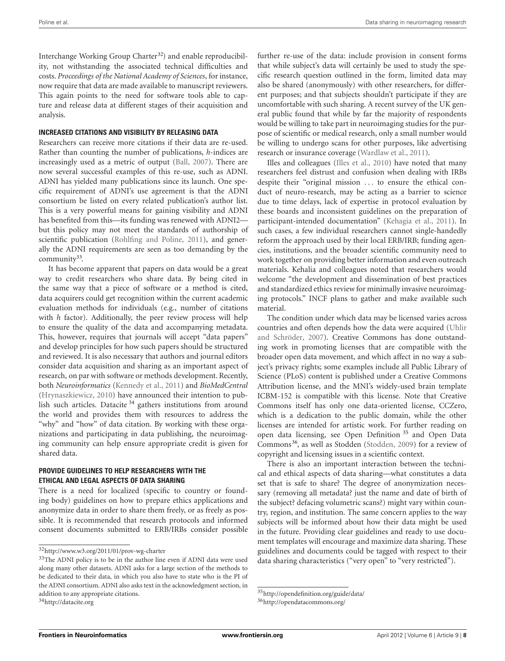Interchange Working Group Charter<sup>32</sup>) and enable reproducibility, not withstanding the associated technical difficulties and costs. *Proceedings of the National Academy of Sciences*, for instance, now require that data are made available to manuscript reviewers. This again points to the need for software tools able to capture and release data at different stages of their acquisition and analysis.

#### **INCREASED CITATIONS AND VISIBILITY BY RELEASING DATA**

Researchers can receive more citations if their data are re-used. Rather than counting the number of publications, *h*-indices are increasingly used as a metric of output [\(Ball, 2007\)](#page-11-3). There are now several successful examples of this re-use, such as ADNI. ADNI has yielded many publications since its launch. One specific requirement of ADNI's use agreement is that the ADNI consortium be listed on every related publication's author list. This is a very powerful means for gaining visibility and ADNI has benefited from this—its funding was renewed with ADNI2 but this policy may not meet the standards of authorship of scientific publication [\(Rohlfing and Poline, 2011](#page-13-12)), and generally the ADNI requirements are seen as too demanding by the community<sup>33</sup>.

It has become apparent that papers on data would be a great way to credit researchers who share data. By being cited in the same way that a piece of software or a method is cited, data acquirers could get recognition within the current academic evaluation methods for individuals (e.g., number of citations with *h* factor). Additionally, the peer review process will help to ensure the quality of the data and accompanying metadata. This, however, requires that journals will accept "data papers" and develop principles for how such papers should be structured and reviewed. It is also necessary that authors and journal editors consider data acquisition and sharing as an important aspect of research, on par with software or methods development. Recently, both *Neuroinformatics* [\(Kennedy et al.](#page-12-31), [2011](#page-12-31)) and *BioMedCentral* [\(Hrynaszkiewicz](#page-12-32), [2010](#page-12-32)) have announced their intention to pub-lish such articles. Datacite<sup>[34](#page-8-0)</sup> gathers institutions from around the world and provides them with resources to address the "why" and "how" of data citation. By working with these organizations and participating in data publishing, the neuroimaging community can help ensure appropriate credit is given for shared data.

#### **PROVIDE GUIDELINES TO HELP RESEARCHERS WITH THE ETHICAL AND LEGAL ASPECTS OF DATA SHARING**

There is a need for localized (specific to country or founding body) guidelines on how to prepare ethics applications and anonymize data in order to share them freely, or as freely as possible. It is recommended that research protocols and informed consent documents submitted to ERB/IRBs consider possible

34http://datacite.org

further re-use of the data: include provision in consent forms that while subject's data will certainly be used to study the specific research question outlined in the form, limited data may also be shared (anonymously) with other researchers, for different purposes; and that subjects shouldn't participate if they are uncomfortable with such sharing. A recent survey of the UK general public found that while by far the majority of respondents would be willing to take part in neuroimaging studies for the purpose of scientific or medical research, only a small number would be willing to undergo scans for other purposes, like advertising research or insurance coverage [\(Wardlaw et al., 2011](#page-13-13)).

Illes and colleagues [\(Illes et al.](#page-12-33), [2010](#page-12-33)) have noted that many researchers feel distrust and confusion when dealing with IRBs despite their "original mission *...* to ensure the ethical conduct of neuro-research, may be acting as a barrier to science due to time delays, lack of expertise in protocol evaluation by these boards and inconsistent guidelines on the preparation of participant-intended documentation" [\(Kehagia et al., 2011\)](#page-12-27). In such cases, a few individual researchers cannot single-handedly reform the approach used by their local ERB/IRB; funding agencies, institutions, and the broader scientific community need to work together on providing better information and even outreach materials. Kehalia and colleagues noted that researchers would welcome "the development and dissemination of best practices and standardized ethics review for minimally invasive neuroimaging protocols." INCF plans to gather and make available such material.

The condition under which data may be licensed varies across countries and [often depends how the data were acquired \(](#page-13-14)Uhlir and Schröder, [2007\)](#page-13-14). Creative Commons has done outstanding work in promoting licenses that are compatible with the broader open data movement, and which affect in no way a subject's privacy rights; some examples include all Public Library of Science (PLoS) content is published under a Creative Commons Attribution license, and the MNI's widely-used brain template ICBM-152 is compatible with this license. Note that Creative Commons itself has only one data-oriented license, CCZero, which is a dedication to the public domain, while the other licenses are intended for artistic work. For further reading on open data licensing, see Open Definition [35](#page-8-0) and Open Data Commons [36,](#page-8-0) as well as Stodden [\(Stodden, 2009](#page-13-15)) for a review of copyright and licensing issues in a scientific context.

<span id="page-8-0"></span>There is also an important interaction between the technical and ethical aspects of data sharing—what constitutes a data set that is safe to share? The degree of anonymization necessary (removing all metadata? just the name and date of birth of the subject? defacing volumetric scans?) might vary within country, region, and institution. The same concern applies to the way subjects will be informed about how their data might be used in the future. Providing clear guidelines and ready to use document templates will encourage and maximize data sharing. These guidelines and documents could be tagged with respect to their data sharing characteristics ("very open" to "very restricted").

<sup>32</sup>http://www.w3.org/2011/01/prov-wg-charter

 $33$ The ADNI policy is to be in the author line even if ADNI data were used along many other datasets. ADNI asks for a large section of the methods to be dedicated to their data, in which you also have to state who is the PI of the ADNI consortium. ADNI also asks text in the acknowledgment section, in addition to any appropriate citations.

<sup>35</sup>http://opendefinition.org/guide/data/

<sup>36</sup>http://opendatacommons.org/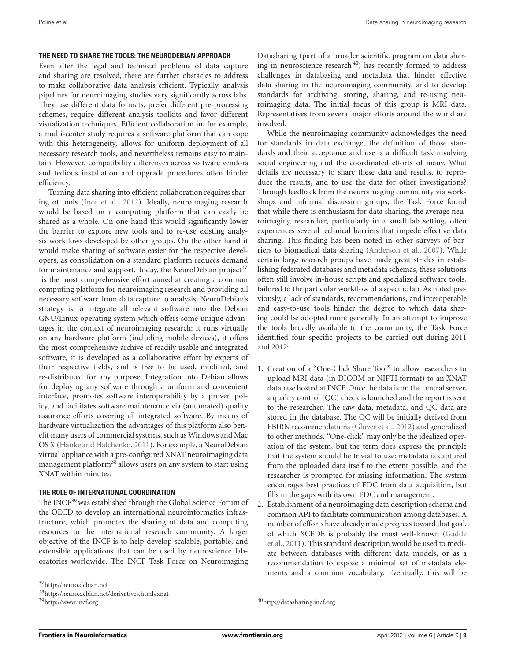#### **THE NEED TO SHARE THE TOOLS: THE NEURODEBIAN APPROACH**

Even after the legal and technical problems of data capture and sharing are resolved, there are further obstacles to address to make collaborative data analysis efficient. Typically, analysis pipelines for neuroimaging studies vary significantly across labs. They use different data formats, prefer different pre-processing schemes, require different analysis toolkits and favor different visualization techniques. Efficient collaboration in, for example, a multi-center study requires a software platform that can cope with this heterogeneity, allows for uniform deployment of all necessary research tools, and nevertheless remains easy to maintain. However, compatibility differences across software vendors and tedious installation and upgrade procedures often hinder efficiency.

Turning data sharing into efficient collaboration requires sharing of tools [\(Ince et al., 2012](#page-12-34)). Ideally, neuroimaging research would be based on a computing platform that can easily be shared as a whole. On one hand this would significantly lower the barrier to explore new tools and to re-use existing analysis workflows developed by other groups. On the other hand it would make sharing of software easier for the respective developers, as consolidation on a standard platform reduces demand [for maintenance and support. Today, the NeuroDebian project](#page-9-0)<sup>37</sup> is the most comprehensive effort aimed at creating a common computing platform for neuroimaging research and providing all necessary software from data capture to analysis. NeuroDebian's strategy is to integrate all relevant software into the Debian GNU/Linux operating system which offers some unique advantages in the context of neuroimaging research: it runs virtually on any hardware platform (including mobile devices), it offers the most comprehensive archive of readily usable and integrated software, it is developed as a collaborative effort by experts of their respective fields, and is free to be used, modified, and re-distributed for any purpose. Integration into Debian allows for deploying any software through a uniform and convenient interface, promotes software interoperability by a proven policy, and facilitates software maintenance via (automated) quality assurance efforts covering all integrated software. By means of hardware virtualization the advantages of this platform also benefit many users of commercial systems, such as Windows and Mac OS X [\(Hanke and Halchenko](#page-12-35), [2011\)](#page-12-35). For example, a NeuroDebian virtual appliance with a pre-configured XNAT neuroimaging data management platform<sup>[38](#page-9-0)</sup> allows users on any system to start using XNAT within minutes.

### **THE ROLE OF INTERNATIONAL COORDINATION**

The INCF<sup>[39](#page-9-0)</sup> was established through the Global Science Forum of the OECD to develop an international neuroinformatics infrastructure, which promotes the sharing of data and computing resources to the international research community. A larger objective of the INCF is to help develop scalable, portable, and extensible applications that can be used by neuroscience laboratories worldwide. The INCF Task Force on Neuroimaging

<span id="page-9-0"></span>Datasharing (part of a broader scientific program on data sharing in neuroscience research [40\)](#page-9-0) has recently formed to address challenges in databasing and metadata that hinder effective data sharing in the neuroimaging community, and to develop standards for archiving, storing, sharing, and re-using neuroimaging data. The initial focus of this group is MRI data. Representatives from several major efforts around the world are involved.

While the neuroimaging community acknowledges the need for standards in data exchange, the definition of those standards and their acceptance and use is a difficult task involving social engineering and the coordinated efforts of many. What details are necessary to share these data and results, to reproduce the results, and to use the data for other investigations? Through feedback from the neuroimaging community via workshops and informal discussion groups, the Task Force found that while there is enthusiasm for data sharing, the average neuroimaging researcher, particularly in a small lab setting, often experiences several technical barriers that impede effective data sharing. This finding has been noted in other surveys of barriers to biomedical data sharing [\(Anderson et al., 2007](#page-11-4)). While certain large research groups have made great strides in establishing federated databases and metadata schemas, these solutions often still involve in-house scripts and specialized software tools, tailored to the particular workflow of a specific lab. As noted previously, a lack of standards, recommendations, and interoperable and easy-to-use tools hinder the degree to which data sharing could be adopted more generally. In an attempt to improve the tools broadly available to the community, the Task Force identified four specific projects to be carried out during 2011 and 2012:

- 1. Creation of a "One-Click Share Tool" to allow researchers to upload MRI data (in DICOM or NIFTI format) to an XNAT database hosted at INCF. Once the data is on the central server, a quality control (QC) check is launched and the report is sent to the researcher. The raw data, metadata, and QC data are stored in the database. The QC will be initially derived from FBIRN recommendations [\(Glover et al.](#page-12-4), [2012\)](#page-12-4) and generalized to other methods. "One-click" may only be the idealized operation of the system, but the term does express the principle that the system should be trivial to use: metadata is captured from the uploaded data itself to the extent possible, and the researcher is prompted for missing information. The system encourages best practices of EDC from data acquisition, but fills in the gaps with its own EDC and management.
- 2. Establishment of a neuroimaging data description schema and common API to facilitate communication among databases. A number of efforts have already made progress toward that goal, of [which XCEDE is probably the most well-known \(](#page-12-28)Gadde et al., [2011](#page-12-28)). This standard description would be used to mediate between databases with different data models, or as a recommendation to expose a minimal set of metadata elements and a common vocabulary. Eventually, this will be

<sup>37</sup>http://neuro.debian.net

<sup>38</sup>http://neuro.debian.net/derivatives.html#xnat

<sup>39</sup>http://www.incf.org

<sup>40</sup>http://datasharing.incf.org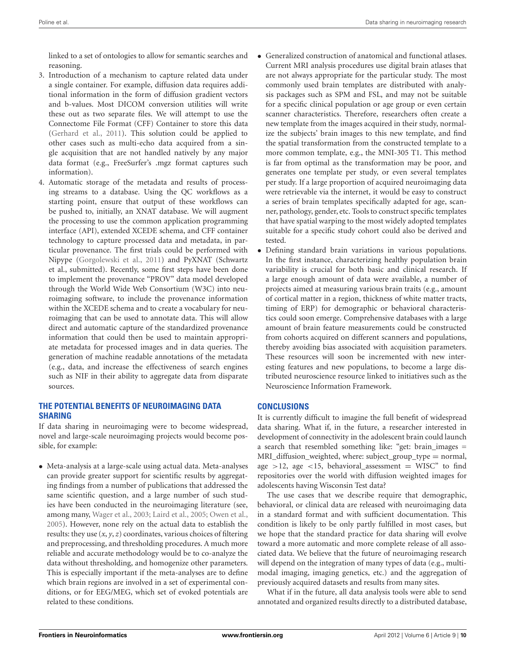linked to a set of ontologies to allow for semantic searches and reasoning.

- 3. Introduction of a mechanism to capture related data under a single container. For example, diffusion data requires additional information in the form of diffusion gradient vectors and b-values. Most DICOM conversion utilities will write these out as two separate files. We will attempt to use the Connectome File Format (CFF) Container to store this data [\(Gerhard et al.](#page-12-36), [2011](#page-12-36)). This solution could be applied to other cases such as multi-echo data acquired from a single acquisition that are not handled natively by any major data format (e.g., FreeSurfer's .mgz format captures such information).
- 4. Automatic storage of the metadata and results of processing streams to a database. Using the QC workflows as a starting point, ensure that output of these workflows can be pushed to, initially, an XNAT database. We will augment the processing to use the common application programming interface (API), extended XCEDE schema, and CFF container technology to capture processed data and metadata, in particular provenance. The first trials could be performed with Nipype [\(Gorgolewski et al.](#page-12-37), [2011](#page-12-37)) and PyXNAT (Schwartz et al., submitted). Recently, some first steps have been done to implement the provenance "PROV" data model developed through the World Wide Web Consortium (W3C) into neuroimaging software, to include the provenance information within the XCEDE schema and to create a vocabulary for neuroimaging that can be used to annotate data. This will allow direct and automatic capture of the standardized provenance information that could then be used to maintain appropriate metadata for processed images and in data queries. The generation of machine readable annotations of the metadata (e.g., data, and increase the effectiveness of search engines such as NIF in their ability to aggregate data from disparate sources.

### **THE POTENTIAL BENEFITS OF NEUROIMAGING DATA SHARING**

If data sharing in neuroimaging were to become widespread, novel and large-scale neuroimaging projects would become possible, for example:

• Meta-analysis at a large-scale using actual data. Meta-analyses can provide greater support for scientific results by aggregating findings from a number of publications that addressed the same scientific question, and a large number of such studies have been conducted in the neuroimaging literature (see, among many, [Wager et al.](#page-13-16), [2003;](#page-13-16) [Laird et al.](#page-12-38), [2005;](#page-12-38) [Owen et al.](#page-12-39), [2005\)](#page-12-39). However, none rely on the actual data to establish the results: they use (*x*, *y*,*z*) coordinates, various choices of filtering and preprocessing, and thresholding procedures. A much more reliable and accurate methodology would be to co-analyze the data without thresholding, and homogenize other parameters. This is especially important if the meta-analyses are to define which brain regions are involved in a set of experimental conditions, or for EEG/MEG, which set of evoked potentials are related to these conditions.

- Generalized construction of anatomical and functional atlases. Current MRI analysis procedures use digital brain atlases that are not always appropriate for the particular study. The most commonly used brain templates are distributed with analysis packages such as SPM and FSL, and may not be suitable for a specific clinical population or age group or even certain scanner characteristics. Therefore, researchers often create a new template from the images acquired in their study, normalize the subjects' brain images to this new template, and find the spatial transformation from the constructed template to a more common template, e.g., the MNI-305 T1. This method is far from optimal as the transformation may be poor, and generates one template per study, or even several templates per study. If a large proportion of acquired neuroimaging data were retrievable via the internet, it would be easy to construct a series of brain templates specifically adapted for age, scanner, pathology, gender, etc. Tools to construct specific templates that have spatial warping to the most widely adopted templates suitable for a specific study cohort could also be derived and tested.
- Defining standard brain variations in various populations. In the first instance, characterizing healthy population brain variability is crucial for both basic and clinical research. If a large enough amount of data were available, a number of projects aimed at measuring various brain traits (e.g., amount of cortical matter in a region, thickness of white matter tracts, timing of ERP) for demographic or behavioral characteristics could soon emerge. Comprehensive databases with a large amount of brain feature measurements could be constructed from cohorts acquired on different scanners and populations, thereby avoiding bias associated with acquisition parameters. These resources will soon be incremented with new interesting features and new populations, to become a large distributed neuroscience resource linked to initiatives such as the Neuroscience Information Framework.

### **CONCLUSIONS**

It is currently difficult to imagine the full benefit of widespread data sharing. What if, in the future, a researcher interested in development of connectivity in the adolescent brain could launch a search that resembled something like: "get: brain\_images = MRI diffusion weighted, where: subject group type  $=$  normal, age *>*12, age *<*15, behavioral\_assessment = WISC" to find repositories over the world with diffusion weighted images for adolescents having Wisconsin Test data?

The use cases that we describe require that demographic, behavioral, or clinical data are released with neuroimaging data in a standard format and with sufficient documentation. This condition is likely to be only partly fulfilled in most cases, but we hope that the standard practice for data sharing will evolve toward a more automatic and more complete release of all associated data. We believe that the future of neuroimaging research will depend on the integration of many types of data (e.g., multimodal imaging, imaging genetics, etc.) and the aggregation of previously acquired datasets and results from many sites.

What if in the future, all data analysis tools were able to send annotated and organized results directly to a distributed database,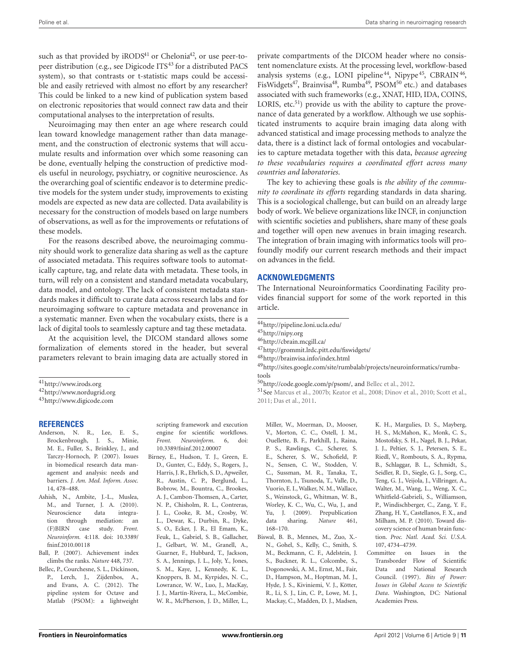such as that provided by iRODS<sup>41</sup> or Chelonia<sup>42</sup>, or use peer-topeer distribution (e.g., see Digicode ITS<sup>43</sup> for a distributed PACS system), so that contrasts or t-statistic maps could be accessible and easily retrieved with almost no effort by any researcher? This could be linked to a new kind of publication system based on electronic repositories that would connect raw data and their computational analyses to the interpretation of results.

Neuroimaging may then enter an age where research could lean toward knowledge management rather than data management, and the construction of electronic systems that will accumulate results and information over which some reasoning can be done, eventually helping the construction of predictive models useful in neurology, psychiatry, or cognitive neuroscience. As the overarching goal of scientific endeavor is to determine predictive models for the system under study, improvements to existing models are expected as new data are collected. Data availability is necessary for the construction of models based on large numbers of observations, as well as for the improvements or refutations of these models.

For the reasons described above, the neuroimaging community should work to generalize data sharing as well as the capture of associated metadata. This requires software tools to automatically capture, tag, and relate data with metadata. These tools, in turn, will rely on a consistent and standard metadata vocabulary, data model, and ontology. The lack of consistent metadata standards makes it difficult to curate data across research labs and for neuroimaging software to capture metadata and provenance in a systematic manner. Even when the vocabulary exists, there is a lack of digital tools to seamlessly capture and tag these metadata.

At the acquisition level, the DICOM standard allows some formalization of elements stored in the header, but several parameters relevant to brain imaging data are actually stored in

41http://www.irods.org

#### **REFERENCES**

- <span id="page-11-4"></span>Anderson, N. R., Lee, E. S., Brockenbrough, J. S., Minie, M. E., Fuller, S., Brinkley, J., and Tarczy-Hornoch, P. (2007). Issues in biomedical research data management and analysis: needs and barriers. *J. Am. Med. Inform. Assoc.* 14, 478–488.
- <span id="page-11-2"></span>Ashish, N., Ambite, J.-L., Muslea, M., and Turner, J. A. (2010).<br>Neuroscience data integra-Neuroscience data integration through mediation: an (F)BIRN case study. *Front. Neuroinform.* 4:118. doi: 10.3389/ fninf.2010.00118
- <span id="page-11-3"></span>Ball, P. (2007). Achievement index climbs the ranks. *Nature* 448, 737.
- <span id="page-11-5"></span>Bellec, P., Courchesne, S. L., Dickinson, P., Lerch, J., Zijdenbos, A., and Evans, A. C. (2012). The pipeline system for Octave and Matlab (PSOM): a lightweight

scripting framework and execution engine for scientific workflows. *Front. Neuroinform*. 6, doi: 10.3389/fninf.2012.00007

<span id="page-11-0"></span>Birney, E., Hudson, T. J., Green, E. D., Gunter, C., Eddy, S., Rogers, J., Harris, J. R., Ehrlich, S. D., Apweiler, R., Austin, C. P., Berglund, L., Bobrow, M., Bountra, C., Brookes, A. J., Cambon-Thomsen, A., Carter, N. P., Chisholm, R. L., Contreras, J. L., Cooke, R. M., Crosby, W. L., Dewar, K., Durbin, R., Dyke, S. O., Ecker, J. R., El Emam, K., Feuk, L., Gabriel, S. B., Gallacher, J., Gelbart, W. M., Granell, A., Guarner, F., Hubbard, T., Jackson, S. A., Jennings, J. L., Joly, Y., Jones, S. M., Kaye, J., Kennedy, K. L., Knoppers, B. M., Kyrpides, N. C., Lowrance, W. W., Luo, J., MacKay, J. J., Martín-Rivera, L., McCombie, W. R., McPherson, J. D., Miller, L.,

private compartments of the DICOM header where no consistent nomenclature exists. At the processing level, workflow-based analysis systems (e.g., LONI pipeline<sup>44</sup>, Nipype<sup>45</sup>, CBRAIN<sup>46</sup>, FisWidgets<sup>47</sup>, Brainvisa<sup>48</sup>, Rumba<sup>49</sup>, PSOM<sup>50</sup> etc.) and databases associated with such frameworks (e.g., XNAT, HID, IDA, COINS, LORIS, etc.<sup>51</sup>) provide us with the ability to capture the provenance of data generated by a workflow. Although we use sophisticated instruments to acquire brain imaging data along with advanced statistical and image processing methods to analyze the data, there is a distinct lack of formal ontologies and vocabularies to capture metadata together with this data, *because agreeing to these vocabularies requires a coordinated effort across many countries and laboratories*.

The key to achieving these goals is *the ability of the community to coordinate its efforts* regarding standards in data sharing. This is a sociological challenge, but can build on an already large body of work. We believe organizations like INCF, in conjunction with scientific societies and publishers, share many of these goals and together will open new avenues in brain imaging research. The integration of brain imaging with informatics tools will profoundly modify our current research methods and their impact on advances in the field.

### **ACKNOWLEDGMENTS**

The International Neuroinformatics Coordinating Facility provides financial support for some of the work reported in this article.

46http://cbrain.mcgill.ca/

```
47http://grommit.lrdc.pitt.edu/fiswidgets/
```
49http://sites.google.com/site/rumbalab/projects/neuroinformatics/rumbatools

50http://code.google.com/p/psom/, and [Bellec et al., 2012](#page-11-5).

51See [Marcus et al.](#page-12-24), [2007b;](#page-12-24) [Keator et al., 2008;](#page-12-21) [Dinov et al.](#page-12-26), [2010;](#page-12-26) [Scott et al.](#page-13-17), [2011;](#page-13-17) [Das et al., 2011.](#page-12-40)

Miller, W., Moerman, D., Mooser, V., Morton, C. C., Ostell, J. M., Ouellette, B. F., Parkhill, J., Raina, P. S., Rawlings, C., Scherer, S. E., Scherer, S. W., Schofield, P. N., Sensen, C. W., Stodden, V. C., Sussman, M. R., Tanaka, T., Thornton, J., Tsunoda, T., Valle, D., Vuorio, E. I., Walker, N. M., Wallace, S., Weinstock, G., Whitman, W. B., Worley, K. C., Wu, C., Wu, J., and Yu, J. (2009). Prepublication data sharing. *Nature* 461, 168–170.

<span id="page-11-1"></span>Biswal, B. B., Mennes, M., Zuo, X.- N., Gohel, S., Kelly, C., Smith, S. M., Beckmann, C. F., Adelstein, J. S., Buckner, R. L., Colcombe, S., Dogonowski, A. M., Ernst, M., Fair, D., Hampson, M., Hoptman, M. J., Hyde, J. S., Kiviniemi, V. J., Kötter, R., Li, S. J., Lin, C. P., Lowe, M. J., Mackay, C., Madden, D. J., Madsen, K. H., Margulies, D. S., Mayberg, H. S., McMahon, K., Monk, C. S., Mostofsky, S. H., Nagel, B. J., Pekar, J. J., Peltier, S. J., Petersen, S. E., Riedl, V., Rombouts, S. A., Rypma, B., Schlaggar, B. L., Schmidt, S., Seidler, R. D., Siegle, G. J., Sorg, C., Teng, G. J., Veijola, J., Villringer, A., Walter, M., Wang, L., Weng, X. C., Whitfield-Gabrieli, S., Williamson, P., Windischberger, C., Zang, Y. F., Zhang, H. Y., Castellanos, F. X., and Milham, M. P. (2010). Toward discovery science of human brain function. *Proc. Natl. Acad. Sci. U.S.A.* 107, 4734–4739.

Committee on Issues in the Transborder Flow of Scientific Data and National Research Council. (1997). *Bits of Power: Issues in Global Access to Scientific Data*. Washington, DC: National Academies Press.

<sup>42</sup>http://www.nordugrid.org

<sup>43</sup>http://www.digicode.com

<sup>44</sup>http://pipeline.loni.ucla.edu/

<sup>45</sup>http://nipy.org

<sup>48</sup>http://brainvisa.info/index.html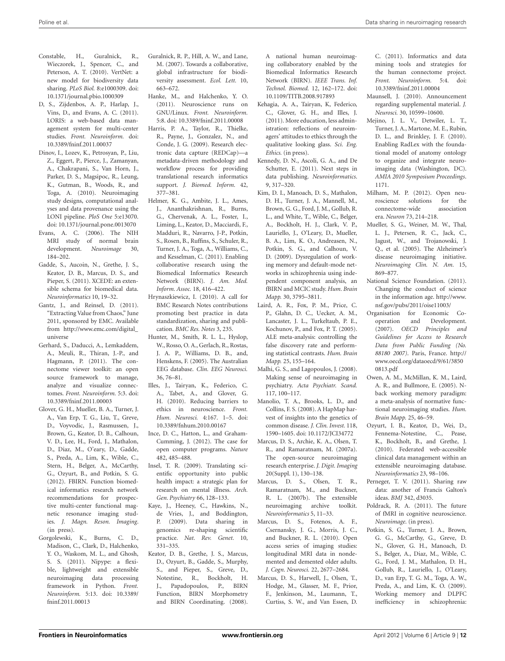- <span id="page-12-12"></span>Constable, H., Guralnick, R., Wieczorek, J., Spencer, C., and Peterson, A. T. (2010). VertNet: a new model for biodiversity data sharing. *PLoS Biol.* 8:e1000309. doi: 10.1371/journal.pbio.1000309
- <span id="page-12-40"></span>D, S., Zijdenbos, A. P., Harlap, J., Vins, D., and Evans, A. C. (2011). LORIS: a web-based data management system for multi-center studies. *Front. Neuroinform.* doi: 10.3389/fninf.2011.00037
- <span id="page-12-26"></span>Dinov, I., Lozev, K., Petrosyan, P., Liu, Z., Eggert, P., Pierce, J., Zamanyan, A., Chakrapani, S., Van Horn, J., Parker, D. S., Magsipoc, R., Leung, K., Gutman, B., Woods, R., and Toga, A. (2010). Neuroimaging study designs, computational analyses and data provenance using the LONI pipeline. *PloS One* 5:e13070. doi: 10.1371/journal.pone.0013070
- <span id="page-12-20"></span>Evans, A. C. (2006). The NIH MRI study of normal brain development. *Neuroimage* 30, 184–202.
- <span id="page-12-28"></span>Gadde, S., Aucoin, N., Grethe, J. S., Keator, D. B., Marcus, D. S., and Pieper, S. (2011). XCEDE: an extensible schema for biomedical data. *Neuroinformatics* 10, 19–32.
- <span id="page-12-0"></span>Gantz, J., and Reinsel, D. (2011). "Extracting Value from Chaos," June 2011, sponsored by EMC. Available from http://www.emc.com/digital\_ universe
- <span id="page-12-36"></span>Gerhard, S., Daducci, A., Lemkaddem, A., Meuli, R., Thiran, J.-P., and Hagmann, P. (2011). The connectome viewer toolkit: an open source framework to manage, analyze and visualize connectomes. *Front. Neuroinform.* 5:3. doi: 10.3389/fninf.2011.00003
- <span id="page-12-4"></span>Glover, G. H., Mueller, B. A., Turner, J. A., Van Erp, T. G., Liu, T., Greve, D., Voyvodic, J., Rasmussen, J., Brown, G., Keator, D. B., Calhoun, V. D., Lee, H., Ford, J., Mathalon, D., Diaz, M., O'eary, D., Gadde, S., Preda, A., Lim, K., Wible, C., Stern, H., Belger, A., McCarthy, G., Ozyurt, B., and Potkin, S. G. (2012). FBIRN. Function biomedical informatics research network recommendations for prospective multi-center functional magnetic resonance imaging studies. *J. Magn. Reson. Imaging*. (in press).
- <span id="page-12-37"></span>Gorgolewski, K., Burns, C. D., Madison, C., Clark, D., Halchenko, Y. O., Waskom, M. L., and Ghosh, S. S. (2011). Nipype: a flexible, lightweight and extensible neuroimaging data processing framework in Python. *Front. Neuroinform.* 5:13. doi: 10.3389/ fninf.2011.00013
- <span id="page-12-11"></span>Guralnick, R. P., Hill, A. W., and Lane, M. (2007). Towards a collaborative, global infrastructure for biodiversity assessment. *Ecol. Lett.* 10, 663–672.
- <span id="page-12-35"></span>Hanke, M., and Halchenko, Y. O. (2011). Neuroscience runs on GNU/Linux. *Front. Neuroinform.* 5:8. doi: 10.3389/fninf.2011.00008
- <span id="page-12-7"></span>Harris, P. A., Taylor, R., Thielke, R., Payne, J., Gonzalez, N., and Conde, J. G. (2009). Research electronic data capture (REDCap)—a metadata-driven methodology and workflow process for providing translational research informatics support. *J. Biomed. Inform.* 42, 377–381.
- <span id="page-12-22"></span>Helmer, K. G., Ambite, J. L., Ames, J., Ananthakrishnan, R., Burns, G., Chervenak, A. L., Foster, I., Liming, L., Keator, D., Macciardi, F., Madduri, R., Navarro, J-P., Potkin, S., Rosen, B., Ruffins, S., Schuler, R., Turner, J. A., Toga, A., Williams, C., and Kesselman, C. (2011). Enabling collaborative research using the Biomedical Informatics Research Network (BIRN). *J. Am. Med. Inform. Assoc.* 18, 416–422.
- <span id="page-12-32"></span>Hrynaszkiewicz, I. (2010). A call for BMC Research Notes contributions promoting best practice in data standardization, sharing and publication. *BMC Res. Notes* 3, 235.
- <span id="page-12-23"></span>Hunter, M., Smith, R. L. L., Hyslop, W., Rosso, O. A., Gerlach, R., Rostas, J. A. P., Williams, D. B., and, Henskens, F. (2005). The Australian EEG database. *Clin. EEG Neurosci.* 36, 76–81.
- <span id="page-12-33"></span>Illes, J., Tairyan, K., Federico, C. A., Tabet, A., and Glover, G. H. (2010). Reducing barriers to ethics in neuroscience. *Front. Hum. Neurosci.* 4:167. 1–5. doi: 10.3389/fnhum.2010.00167
- <span id="page-12-34"></span>Ince, D. C., Hatton, L., and Graham-Cumming, J. (2012). The case for open computer programs. *Nature* 482, 485–488.
- <span id="page-12-9"></span>Insel, T. R. (2009). Translating scientific opportunity into public health impact: a strategic plan for research on mental illness. *Arch. Gen. Psychiatry* 66, 128–133.
- <span id="page-12-14"></span>Kaye, J., Heeney, C., Hawkins, N., de Vries, J., and Boddington, P. (2009). Data sharing in genomics re-shaping scientific practice. *Nat. Rev. Genet.* 10, 331–335.
- <span id="page-12-21"></span>Keator, D. B., Grethe, J. S., Marcus, D., Ozyurt, B., Gadde, S., Murphy, S., and Pieper, S., Greve, D., Notestine, R., Bockholt, H. J., Papadopoulos, P., BIRN Function, BIRN Morphometry and BIRN Coordinating. (2008).

A national human neuroimaging collaboratory enabled by the Biomedical Informatics Research Network (BIRN). *IEEE Trans. Inf. Technol. Biomed.* 12, 162–172. doi: 10.1109/TITB.2008.917893

- <span id="page-12-27"></span>Kehagia, A. A., Tairyan, K, Federico, C., Glover, G. H., and Illes, J. (2011). More education, less administration: reflections of neuroimagers' attitudes to ethics through the qualitative looking glass. *Sci. Eng. Ethics.* (in press).
- <span id="page-12-31"></span>Kennedy, D. N., Ascoli, G. A., and De Schutter, E. (2011). Next steps in data publishing. *Neuroinformatics*. 9, 317–320.
- <span id="page-12-5"></span>Kim, D. I., Manoach, D. S., Mathalon, D. H., Turner, J. A., Mannell, M., Brown, G. G., Ford, J. M., Gollub, R. L., and White, T., Wible, C., Belger, A., Bockholt, H. J., Clark, V. P., Lauriello, J., O'Leary, D., Mueller, B. A., Lim, K. O., Andreasen, N., Potkin, S. G., and Calhoun, V. D. (2009). Dysregulation of working memory and default-mode networks in schizophrenia using independent component analysis, an fBIRN and MCIC study. *Hum. Brain Mapp.* 30, 3795–3811.
- <span id="page-12-38"></span>Laird, A. R., Fox, P. M., Price, C. P., Glahn, D. C., Uecker, A. M., Lancaster, J. L., Turkeltaub, P. E., Kochunov, P., and Fox, P. T. (2005). ALE meta-analysis: controlling the false discovery rate and performing statistical contrasts. *Hum. Brain Mapp.* 25, 155–164.
- <span id="page-12-8"></span>Malhi, G. S., and Lagopoulos, J. (2008). Making sense of neuroimaging in psychiatry. *Acta Psychiatr. Scand.* 117, 100–117.
- <span id="page-12-13"></span>Manolio, T. A., Brooks, L. D., and Collins, F. S. (2008). A HapMap harvest of insights into the genetics of common disease. *J. Clin. Invest.* 118, 1590–1605. doi: 10.1172/JCI34772
- <span id="page-12-16"></span>Marcus, D. S., Archie, K. A., Olsen, T. R., and Ramaratnam, M. (2007a). The open-source neuroimaging research enterprise. *J. Digit. Imaging* 20(Suppl. 1), 130–138.
- <span id="page-12-24"></span>Marcus, D. S., Olsen, T. R., Ramaratnam, M., and Buckner, R. L. (2007b). The extensible neuroimaging archive toolkit. *Neuroinformatics* 5, 11–33.
- <span id="page-12-17"></span>Marcus, D. S., Fotenos, A. F., Csernansky, J. G., Morris, J. C., and Buckner, R. L. (2010). Open access series of imaging studies: longitudinal MRI data in nondemented and demented older adults. *J. Cogn. Neurosci.* 22, 2677–2684.
- <span id="page-12-18"></span>Marcus, D. S., Harwell, J., Olsen, T., Hodge, M., Glasser, M. F., Prior, F., Jenkinson, M., Laumann, T., Curtiss, S. W., and Van Essen, D.

C. (2011). Informatics and data mining tools and strategies for the human connectome project. *Front. Neuroinform.* 5:4. doi: 10.3389/fninf.2011.00004

- <span id="page-12-30"></span>Maunsell, J. (2010). Announcement regarding supplemental material. *J. Neurosci.* 30, 10599–10600.
- <span id="page-12-29"></span>Mejino, J. L. V., Detwiler, L. T., Turner, J. A., Martone, M. E., Rubin, D. L., and Brinkley, J. F. (2010). Enabling RadLex with the foundational model of anatomy ontology to organize and integrate neuroimaging data (Washington, DC). *AMIA 2010 Symposium Proceedings*. 1171.
- <span id="page-12-3"></span>Milham, M. P. (2012). Open neuroscience solutions for the connectome-wide association era. *Neuron* 73, 214–218.
- <span id="page-12-19"></span>Mueller, S. G., Weiner, M. W., Thal, L. J., Petersen, R. C., Jack, C., Jagust, W., and Trojanowski, J. Q., et al. (2005). The Alzheimer's disease neuroimaging initiative. *Neuroimaging Clin. N. Am.* 15, 869–877.
- <span id="page-12-1"></span>National Science Foundation. (2011). Changing the conduct of science in the information age. http://www. nsf.gov/pubs/2011/oise11003/
- <span id="page-12-15"></span>Organisation for Economic Cooperation and Development. (2007). *OECD Principles and Guidelines for Access to Research Data from Public Funding (No. 88180 2007)*. Paris, France. http:// www.oecd.org/dataoecd/9/61/3850 0813.pdf
- <span id="page-12-39"></span>Owen, A. M., McMillan, K. M., Laird, A. R., and Bullmore, E. (2005). Nback working memory paradigm: a meta-analysis of normative functional neuroimaging studies. *Hum. Brain Mapp.* 25, 46–59.
- <span id="page-12-25"></span>Ozyurt, I. B., Keator, D., Wei, D., Fennema-Notestine, C., Pease, K., Bockholt, B., and Grethe, J. (2010). Federated web-accessible clinical data management within an extensible neuroimaging database. *Neuroinformatics* 23, 98–106.
- <span id="page-12-10"></span>Perneger, T. V. (2011). Sharing raw data: another of Francis Galton's ideas. *BMJ* 342, d3035.
- <span id="page-12-2"></span>Poldrack, R. A. (2011). The future of fMRI in cognitive neuroscience. *Neuroimage*. (in press).
- <span id="page-12-6"></span>Potkin, S. G., Turner, J. A., Brown, G. G., McCarthy, G., Greve, D. N., Glover, G. H., Manoach, D. S., Belger, A., Diaz, M., Wible, C. G., Ford, J. M., Mathalon, D. H., Gollub, R., Lauriello, J., O'Leary, D., van Erp, T. G. M., Toga, A. W., Preda, A., and Lim, K. O. (2009). Working memory and DLPFC inefficiency in schizophrenia: